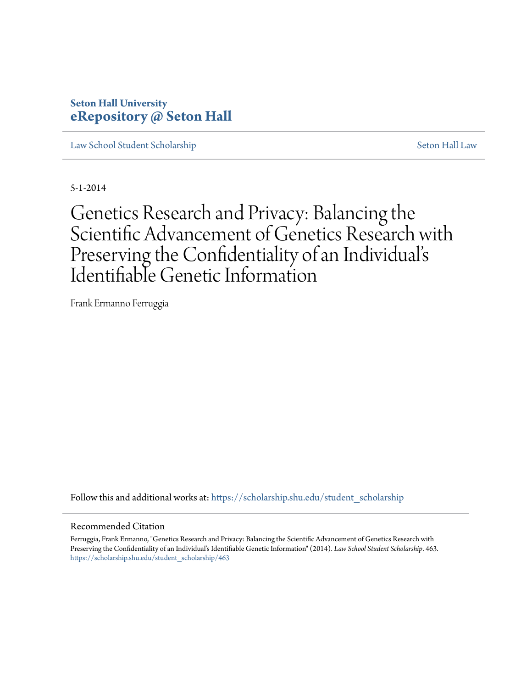# **Seton Hall University [eRepository @ Seton Hall](https://scholarship.shu.edu?utm_source=scholarship.shu.edu%2Fstudent_scholarship%2F463&utm_medium=PDF&utm_campaign=PDFCoverPages)**

[Law School Student Scholarship](https://scholarship.shu.edu/student_scholarship?utm_source=scholarship.shu.edu%2Fstudent_scholarship%2F463&utm_medium=PDF&utm_campaign=PDFCoverPages) [Seton Hall Law](https://scholarship.shu.edu/law?utm_source=scholarship.shu.edu%2Fstudent_scholarship%2F463&utm_medium=PDF&utm_campaign=PDFCoverPages)

5-1-2014

Genetics Research and Privacy: Balancing the Scientific Advancement of Genetics Research with Preserving the Confidentiality of an Individual' s Identifiable Genetic Information

Frank Ermanno Ferruggia

Follow this and additional works at: [https://scholarship.shu.edu/student\\_scholarship](https://scholarship.shu.edu/student_scholarship?utm_source=scholarship.shu.edu%2Fstudent_scholarship%2F463&utm_medium=PDF&utm_campaign=PDFCoverPages)

#### Recommended Citation

Ferruggia, Frank Ermanno, "Genetics Research and Privacy: Balancing the Scientific Advancement of Genetics Research with Preserving the Confidentiality of an Individual's Identifiable Genetic Information" (2014). *Law School Student Scholarship*. 463. [https://scholarship.shu.edu/student\\_scholarship/463](https://scholarship.shu.edu/student_scholarship/463?utm_source=scholarship.shu.edu%2Fstudent_scholarship%2F463&utm_medium=PDF&utm_campaign=PDFCoverPages)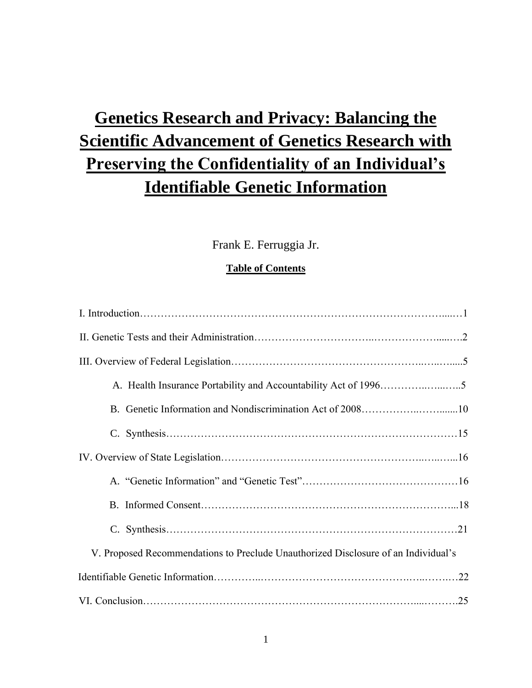# **Genetics Research and Privacy: Balancing the Scientific Advancement of Genetics Research with Preserving the Confidentiality of an Individual's Identifiable Genetic Information**

## Frank E. Ferruggia Jr.

### **Table of Contents**

| V. Proposed Recommendations to Preclude Unauthorized Disclosure of an Individual's |  |
|------------------------------------------------------------------------------------|--|
|                                                                                    |  |
|                                                                                    |  |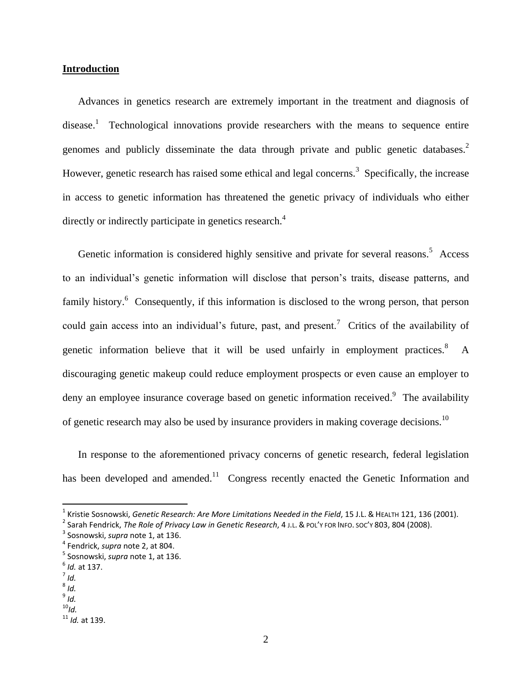#### **Introduction**

Advances in genetics research are extremely important in the treatment and diagnosis of disease.<sup>1</sup> Technological innovations provide researchers with the means to sequence entire genomes and publicly disseminate the data through private and public genetic databases. $2$ However, genetic research has raised some ethical and legal concerns.<sup>3</sup> Specifically, the increase in access to genetic information has threatened the genetic privacy of individuals who either directly or indirectly participate in genetics research.<sup>4</sup>

Genetic information is considered highly sensitive and private for several reasons.<sup>5</sup> Access to an individual's genetic information will disclose that person's traits, disease patterns, and family history.<sup>6</sup> Consequently, if this information is disclosed to the wrong person, that person could gain access into an individual's future, past, and present.<sup>7</sup> Critics of the availability of genetic information believe that it will be used unfairly in employment practices. $8$  A discouraging genetic makeup could reduce employment prospects or even cause an employer to deny an employee insurance coverage based on genetic information received.<sup>9</sup> The availability of genetic research may also be used by insurance providers in making coverage decisions.<sup>10</sup>

In response to the aforementioned privacy concerns of genetic research, federal legislation has been developed and amended.<sup>11</sup> Congress recently enacted the Genetic Information and

 $\overline{\phantom{a}}$ 

8 *Id.*

<sup>&</sup>lt;sup>1</sup> Kristie Sosnowski, *Genetic Research: Are More Limitations Needed in the Field,* 15 J.L. & Нєа*стн 121, 136 (2001)*.

<sup>2</sup> Sarah Fendrick, *The Role of Privacy Law in Genetic Research*, 4 J.L. & POL'Y FOR INFO. SOC'Y 803, 804 (2008).

<sup>3</sup> Sosnowski, *supra* note 1, at 136.

<sup>4</sup> Fendrick, *supra* note 2, at 804.

<sup>5</sup> Sosnowski, *supra* note 1, at 136.

<sup>6</sup> *Id.* at 137.

<sup>7</sup> *Id.*

<sup>9</sup> *Id.*  $^{10}$ *Id.* 

<sup>11</sup> *Id.* at 139.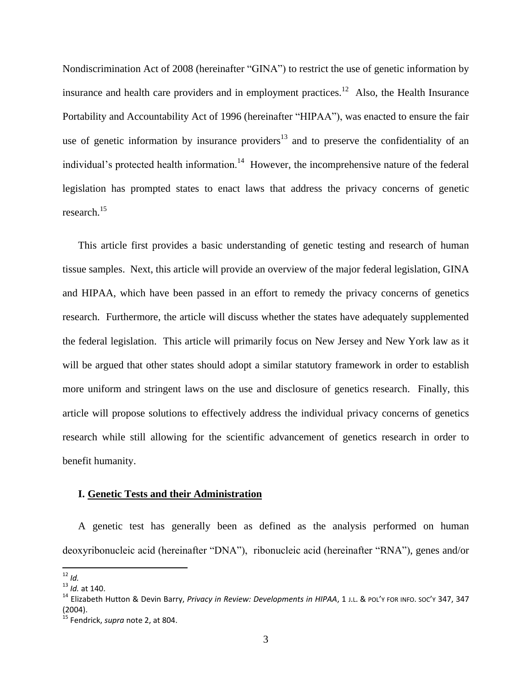Nondiscrimination Act of 2008 (hereinafter "GINA") to restrict the use of genetic information by insurance and health care providers and in employment practices.<sup>12</sup> Also, the Health Insurance Portability and Accountability Act of 1996 (hereinafter "HIPAA"), was enacted to ensure the fair use of genetic information by insurance providers $13$  and to preserve the confidentiality of an individual's protected health information.<sup>14</sup> However, the incomprehensive nature of the federal legislation has prompted states to enact laws that address the privacy concerns of genetic research.<sup>15</sup>

This article first provides a basic understanding of genetic testing and research of human tissue samples. Next, this article will provide an overview of the major federal legislation, GINA and HIPAA, which have been passed in an effort to remedy the privacy concerns of genetics research. Furthermore, the article will discuss whether the states have adequately supplemented the federal legislation. This article will primarily focus on New Jersey and New York law as it will be argued that other states should adopt a similar statutory framework in order to establish more uniform and stringent laws on the use and disclosure of genetics research. Finally, this article will propose solutions to effectively address the individual privacy concerns of genetics research while still allowing for the scientific advancement of genetics research in order to benefit humanity.

#### **I. Genetic Tests and their Administration**

A genetic test has generally been as defined as the analysis performed on human deoxyribonucleic acid (hereinafter "DNA"), ribonucleic acid (hereinafter "RNA"), genes and/or

<sup>12</sup> *Id.*

<sup>13</sup> *Id.* at 140.

<sup>14</sup> Elizabeth Hutton & Devin Barry, *Privacy in Review: Developments in HIPAA*, 1 J.L. & POL'<sup>Y</sup> FOR INFO. SOC'<sup>Y</sup> 347, 347 (2004).

<sup>15</sup> Fendrick, *supra* note 2, at 804.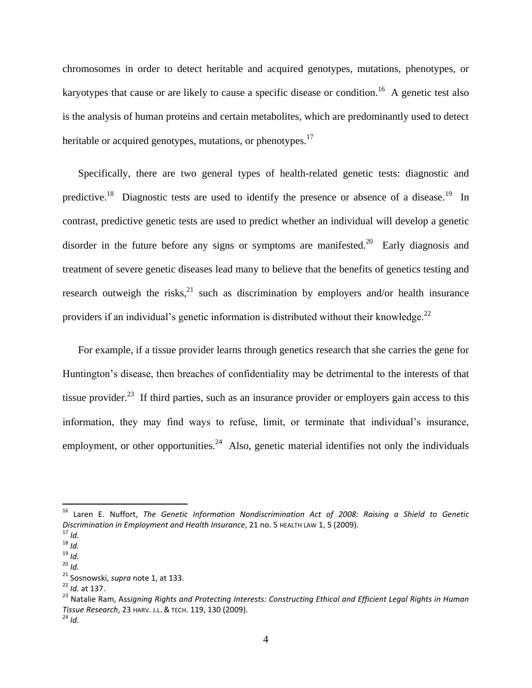chromosomes in order to detect heritable and acquired genotypes, mutations, phenotypes, or karyotypes that cause or are likely to cause a specific disease or condition.<sup>16</sup> A genetic test also is the analysis of human proteins and certain metabolites, which are predominantly used to detect heritable or acquired genotypes, mutations, or phenotypes.<sup>17</sup>

Specifically, there are two general types of health-related genetic tests: diagnostic and predictive.<sup>18</sup> Diagnostic tests are used to identify the presence or absence of a disease.<sup>19</sup> In contrast, predictive genetic tests are used to predict whether an individual will develop a genetic disorder in the future before any signs or symptoms are manifested.<sup>20</sup> Early diagnosis and treatment of severe genetic diseases lead many to believe that the benefits of genetics testing and research outweigh the risks,  $21$  such as discrimination by employers and/or health insurance providers if an individual's genetic information is distributed without their knowledge. $^{22}$ 

For example, if a tissue provider learns through genetics research that she carries the gene for Huntington's disease, then breaches of confidentiality may be detrimental to the interests of that tissue provider.<sup>23</sup> If third parties, such as an insurance provider or employers gain access to this information, they may find ways to refuse, limit, or terminate that individual's insurance, employment, or other opportunities.<sup>24</sup> Also, genetic material identifies not only the individuals

<sup>16</sup> Laren E. Nuffort, *The Genetic Information Nondiscrimination Act of 2008: Raising a Shield to Genetic Discrimination in Employment and Health Insurance*, 21 no. 5 HEALTH LAW 1, 5 (2009).

<sup>17</sup> *Id.*

<sup>18</sup> *Id.*  $19 \over 10$ .

<sup>20</sup> *Id.*

<sup>21</sup> Sosnowski, *supra* note 1, at 133.

<sup>22</sup> *Id.* at 137.

<sup>23</sup> Natalie Ram, Ass*igning Rights and Protecting Interests: Constructing Ethical and Efficient Legal Rights in Human Tissue Research*, 23 HARV. J.L. & TECH. 119, 130 (2009).

<sup>24</sup> *Id.*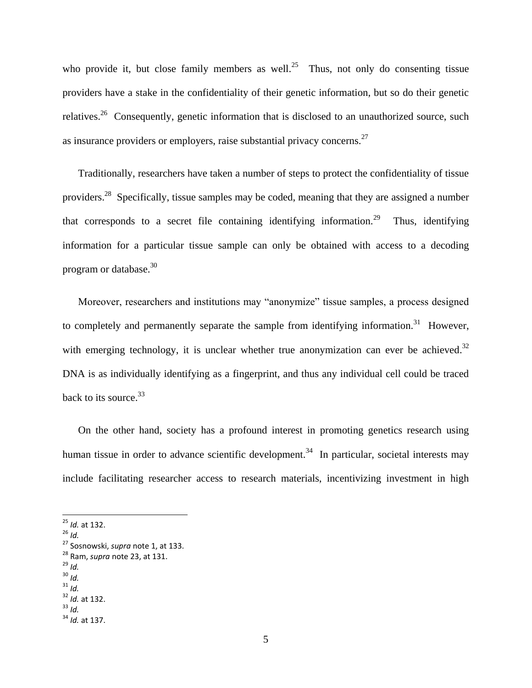who provide it, but close family members as well.<sup>25</sup> Thus, not only do consenting tissue providers have a stake in the confidentiality of their genetic information, but so do their genetic relatives.<sup>26</sup> Consequently, genetic information that is disclosed to an unauthorized source, such as insurance providers or employers, raise substantial privacy concerns.<sup>27</sup>

Traditionally, researchers have taken a number of steps to protect the confidentiality of tissue providers.<sup>28</sup> Specifically, tissue samples may be coded, meaning that they are assigned a number that corresponds to a secret file containing identifying information.<sup>29</sup> Thus, identifying information for a particular tissue sample can only be obtained with access to a decoding program or database. $^{30}$ 

Moreover, researchers and institutions may "anonymize" tissue samples, a process designed to completely and permanently separate the sample from identifying information.<sup>31</sup> However, with emerging technology, it is unclear whether true anonymization can ever be achieved.<sup>32</sup> DNA is as individually identifying as a fingerprint, and thus any individual cell could be traced back to its source.<sup>33</sup>

On the other hand, society has a profound interest in promoting genetics research using human tissue in order to advance scientific development.<sup>34</sup> In particular, societal interests may include facilitating researcher access to research materials, incentivizing investment in high

 $\overline{\phantom{a}}$ 

<sup>29</sup> *Id.*

<sup>25</sup> *Id.* at 132.

<sup>26</sup> *Id.*

<sup>27</sup> Sosnowski, *supra* note 1, at 133.

<sup>28</sup> Ram, *supra* note 23, at 131.

 $30$  *Id.* <sup>31</sup> *Id.*

<sup>32</sup> *Id.* at 132.

<sup>33</sup> *Id.*

<sup>34</sup> *Id.* at 137.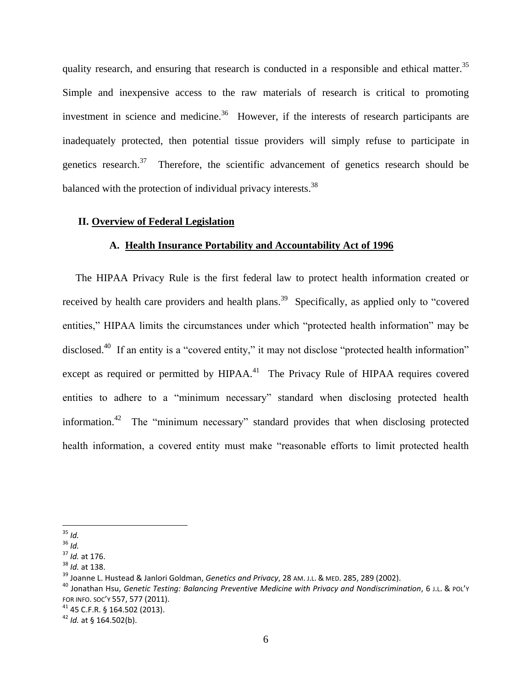quality research, and ensuring that research is conducted in a responsible and ethical matter.<sup>35</sup> Simple and inexpensive access to the raw materials of research is critical to promoting investment in science and medicine.<sup>36</sup> However, if the interests of research participants are inadequately protected, then potential tissue providers will simply refuse to participate in genetics research.<sup>37</sup> Therefore, the scientific advancement of genetics research should be balanced with the protection of individual privacy interests.<sup>38</sup>

#### **II. Overview of Federal Legislation**

#### **A. Health Insurance Portability and Accountability Act of 1996**

 The HIPAA Privacy Rule is the first federal law to protect health information created or received by health care providers and health plans.<sup>39</sup> Specifically, as applied only to "covered entities," HIPAA limits the circumstances under which "protected health information" may be disclosed.<sup>40</sup> If an entity is a "covered entity," it may not disclose "protected health information" except as required or permitted by HIPAA.<sup>41</sup> The Privacy Rule of HIPAA requires covered entities to adhere to a "minimum necessary" standard when disclosing protected health information.<sup>42</sup> The "minimum necessary" standard provides that when disclosing protected health information, a covered entity must make "reasonable efforts to limit protected health

 $\overline{\phantom{a}}$ <sup>35</sup> *Id.*

<sup>36</sup> *Id.*

<sup>37</sup> *Id.* at 176.

<sup>38</sup> *Id.* at 138.

<sup>39</sup> Joanne L. Hustead & Janlori Goldman, *Genetics and Privacy*, 28 AM. <sup>J</sup>.L. & MED. 285, 289 (2002).

<sup>40</sup> Jonathan Hsu, *Genetic Testing: Balancing Preventive Medicine with Privacy and Nondiscrimination*, 6 J.L. & POL'<sup>Y</sup> FOR INFO. SOC'Y 557, 577 (2011).

<sup>41</sup> 45 C.F.R. § 164.502 (2013).

<sup>42</sup> *Id.* at § 164.502(b).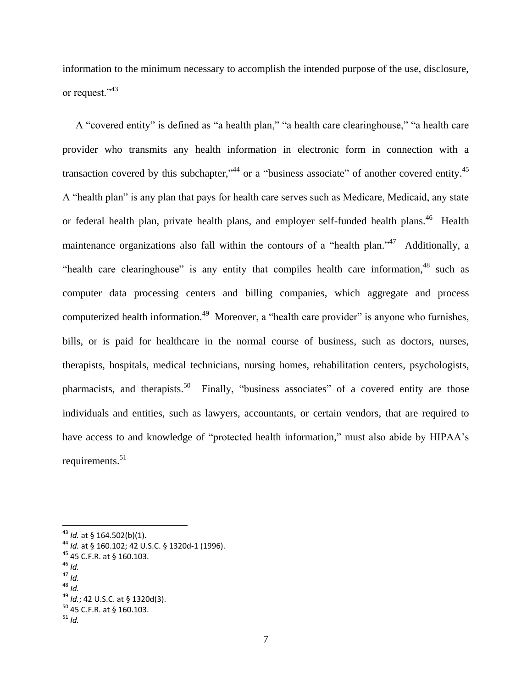information to the minimum necessary to accomplish the intended purpose of the use, disclosure, or request."<sup>43</sup>

 A "covered entity" is defined as "a health plan," "a health care clearinghouse," "a health care provider who transmits any health information in electronic form in connection with a transaction covered by this subchapter,<sup> $34$ </sup> or a "business associate" of another covered entity.<sup>45</sup> A "health plan" is any plan that pays for health care serves such as Medicare, Medicaid, any state or federal health plan, private health plans, and employer self-funded health plans. <sup>46</sup> Health maintenance organizations also fall within the contours of a "health plan."<sup>47</sup> Additionally, a "health care clearinghouse" is any entity that compiles health care information, $48$  such as computer data processing centers and billing companies, which aggregate and process computerized health information.<sup>49</sup> Moreover, a "health care provider" is anyone who furnishes, bills, or is paid for healthcare in the normal course of business, such as doctors, nurses, therapists, hospitals, medical technicians, nursing homes, rehabilitation centers, psychologists, pharmacists, and therapists.<sup>50</sup> Finally, "business associates" of a covered entity are those individuals and entities, such as lawyers, accountants, or certain vendors, that are required to have access to and knowledge of "protected health information," must also abide by HIPAA's requirements. 51

<sup>46</sup> *Id.*

<sup>43</sup> *Id.* at § 164.502(b)(1).

<sup>44</sup> *Id.* at § 160.102; 42 U.S.C. § 1320d-1 (1996).

<sup>45</sup> 45 C.F.R. at § 160.103.

 $47$  *Id.* 

<sup>48</sup> *Id.*

<sup>49</sup> *Id.*; 42 U.S.C. at § 1320d(3).

<sup>50</sup> 45 C.F.R. at § 160.103.

 $51$  *Id*.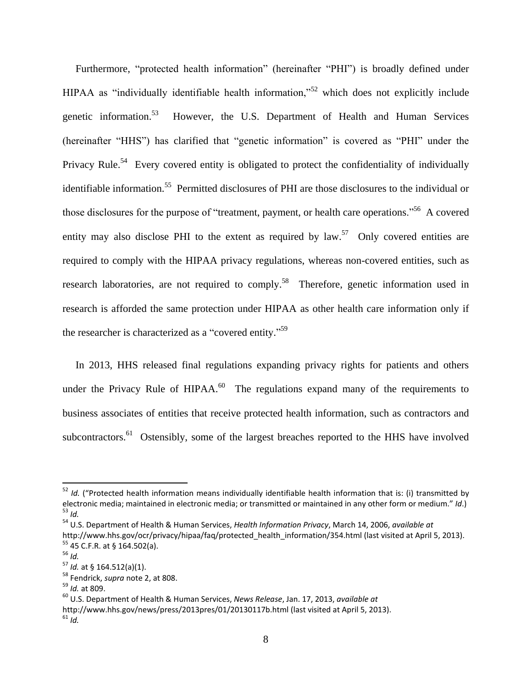Furthermore, "protected health information" (hereinafter "PHI") is broadly defined under HIPAA as "individually identifiable health information,"<sup>52</sup> which does not explicitly include genetic information.<sup>53</sup> However, the U.S. Department of Health and Human Services (hereinafter "HHS") has clarified that "genetic information" is covered as "PHI" under the Privacy Rule.<sup>54</sup> Every covered entity is obligated to protect the confidentiality of individually identifiable information.<sup>55</sup> Permitted disclosures of PHI are those disclosures to the individual or those disclosures for the purpose of "treatment, payment, or health care operations."<sup>56</sup> A covered entity may also disclose PHI to the extent as required by  $law$ <sup>57</sup>. Only covered entities are required to comply with the HIPAA privacy regulations, whereas non-covered entities, such as research laboratories, are not required to comply.<sup>58</sup> Therefore, genetic information used in research is afforded the same protection under HIPAA as other health care information only if the researcher is characterized as a "covered entity."<sup>59</sup>

 In 2013, HHS released final regulations expanding privacy rights for patients and others under the Privacy Rule of HIPAA. $^{60}$  The regulations expand many of the requirements to business associates of entities that receive protected health information, such as contractors and subcontractors.<sup>61</sup> Ostensibly, some of the largest breaches reported to the HHS have involved

l

<sup>52</sup> *Id.* ("Protected health information means individually identifiable health information that is: (i) transmitted by electronic media; maintained in electronic media; or transmitted or maintained in any other form or medium." *Id*.) <sup>53</sup> *Id.* 

<sup>54</sup> U.S. Department of Health & Human Services, *Health Information Privacy*, March 14, 2006, *available at* http://www.hhs.gov/ocr/privacy/hipaa/faq/protected health information/354.html (last visited at April 5, 2013). <sup>55</sup> 45 C.F.R. at § 164.502(a).

<sup>56</sup> *Id.*

<sup>57</sup> *Id.* at § 164.512(a)(1).

<sup>58</sup> Fendrick, *supra* note 2, at 808.

<sup>59</sup> *Id.* at 809.

<sup>60</sup> U.S. Department of Health & Human Services, *News Release*, Jan. 17, 2013, *available at*

http://www.hhs.gov/news/press/2013pres/01/20130117b.html (last visited at April 5, 2013).  $61$  *Id*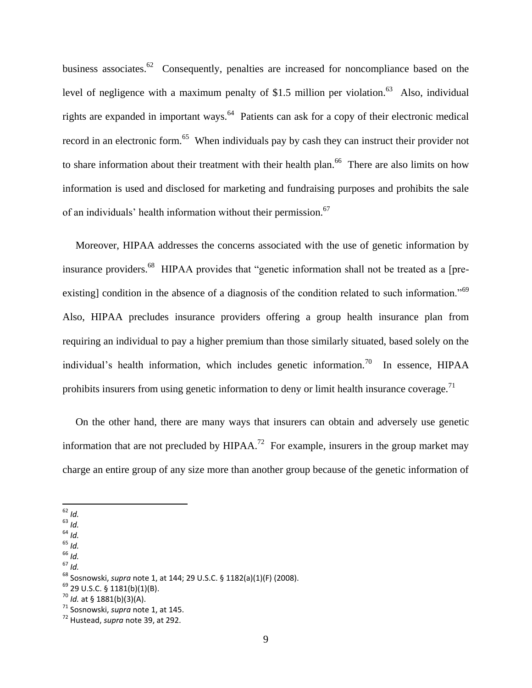business associates.<sup>62</sup> Consequently, penalties are increased for noncompliance based on the level of negligence with a maximum penalty of \$1.5 million per violation.<sup>63</sup> Also, individual rights are expanded in important ways.<sup>64</sup> Patients can ask for a copy of their electronic medical record in an electronic form.<sup>65</sup> When individuals pay by cash they can instruct their provider not to share information about their treatment with their health plan.<sup>66</sup> There are also limits on how information is used and disclosed for marketing and fundraising purposes and prohibits the sale of an individuals' health information without their permission.<sup>67</sup>

 Moreover, HIPAA addresses the concerns associated with the use of genetic information by insurance providers.<sup>68</sup> HIPAA provides that "genetic information shall not be treated as a [preexisting] condition in the absence of a diagnosis of the condition related to such information."<sup>69</sup> Also, HIPAA precludes insurance providers offering a group health insurance plan from requiring an individual to pay a higher premium than those similarly situated, based solely on the individual's health information, which includes genetic information.<sup>70</sup> In essence, HIPAA prohibits insurers from using genetic information to deny or limit health insurance coverage.<sup>71</sup>

 On the other hand, there are many ways that insurers can obtain and adversely use genetic information that are not precluded by HIPAA.<sup>72</sup> For example, insurers in the group market may charge an entire group of any size more than another group because of the genetic information of

- <sup>63</sup> *Id.*
- $64$  *Id.*
- <sup>65</sup> *Id.*
- <sup>66</sup> *Id.*  $67$  *Id.*
- 

 $\overline{\phantom{a}}$ <sup>62</sup> *Id.*

<sup>68</sup> Sosnowski, *supra* note 1, at 144; 29 U.S.C. § 1182(a)(1)(F) (2008).

<sup>69</sup> 29 U.S.C. § 1181(b)(1)(B).

<sup>70</sup> *Id.* at § 1881(b)(3)(A).

<sup>71</sup> Sosnowski, *supra* note 1, at 145.

<sup>72</sup> Hustead, *supra* note 39, at 292.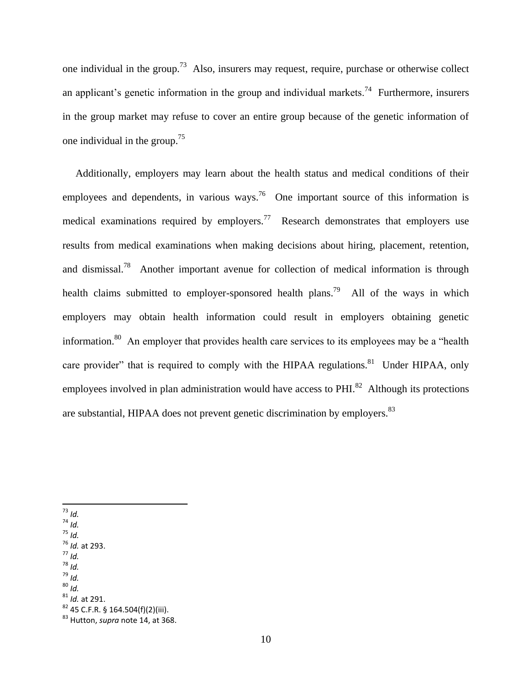one individual in the group.<sup>73</sup> Also, insurers may request, require, purchase or otherwise collect an applicant's genetic information in the group and individual markets.<sup>74</sup> Furthermore, insurers in the group market may refuse to cover an entire group because of the genetic information of one individual in the group.<sup>75</sup>

 Additionally, employers may learn about the health status and medical conditions of their employees and dependents, in various ways.<sup>76</sup> One important source of this information is medical examinations required by employers.<sup>77</sup> Research demonstrates that employers use results from medical examinations when making decisions about hiring, placement, retention, and dismissal.<sup>78</sup> Another important avenue for collection of medical information is through health claims submitted to employer-sponsored health plans.<sup>79</sup> All of the ways in which employers may obtain health information could result in employers obtaining genetic information.<sup>80</sup> An employer that provides health care services to its employees may be a "health" care provider" that is required to comply with the HIPAA regulations.<sup>81</sup> Under HIPAA, only employees involved in plan administration would have access to  $PHI<sup>82</sup>$  Although its protections are substantial, HIPAA does not prevent genetic discrimination by employers.<sup>83</sup>

- $\overline{\phantom{a}}$ <sup>73</sup> *Id.*
- $74 \frac{10}{10}$ .
- <sup>75</sup> *Id.*
- <sup>76</sup> *Id.* at 293.
- <sup>77</sup> *Id.*
- <sup>78</sup> *Id.* <sup>79</sup> *Id.*
- <sup>80</sup> *Id.*
- <sup>81</sup> *Id.* at 291.
- $82$  45 C.F.R. § 164.504(f)(2)(iii).

<sup>83</sup> Hutton, *supra* note 14, at 368.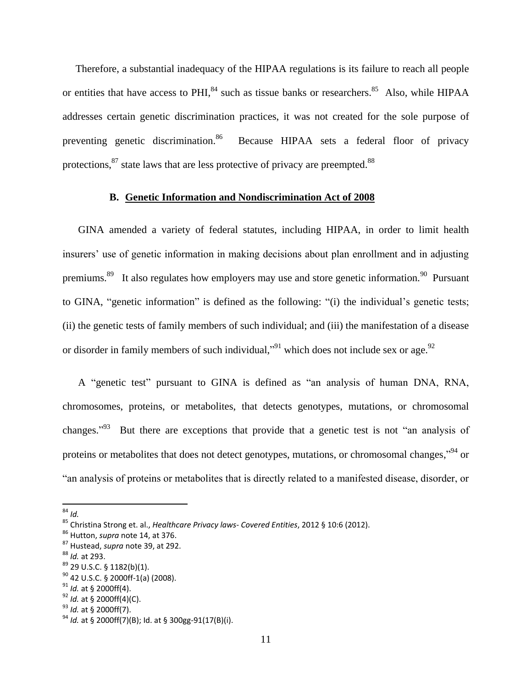Therefore, a substantial inadequacy of the HIPAA regulations is its failure to reach all people or entities that have access to PHI,  $^{84}$  such as tissue banks or researchers.  $^{85}$  Also, while HIPAA addresses certain genetic discrimination practices, it was not created for the sole purpose of preventing genetic discrimination.<sup>86</sup> Because HIPAA sets a federal floor of privacy protections, $^{87}$  state laws that are less protective of privacy are preempted. $^{88}$ 

#### **B. Genetic Information and Nondiscrimination Act of 2008**

GINA amended a variety of federal statutes, including HIPAA, in order to limit health insurers' use of genetic information in making decisions about plan enrollment and in adjusting premiums.<sup>89</sup> It also regulates how employers may use and store genetic information.<sup>90</sup> Pursuant to GINA, "genetic information" is defined as the following: "(i) the individual's genetic tests; (ii) the genetic tests of family members of such individual; and (iii) the manifestation of a disease or disorder in family members of such individual,"<sup>91</sup> which does not include sex or age.<sup>92</sup>

A "genetic test" pursuant to GINA is defined as "an analysis of human DNA, RNA, chromosomes, proteins, or metabolites, that detects genotypes, mutations, or chromosomal changes."<sup>93</sup> But there are exceptions that provide that a genetic test is not "an analysis of proteins or metabolites that does not detect genotypes, mutations, or chromosomal changes,"<sup>94</sup> or "an analysis of proteins or metabolites that is directly related to a manifested disease, disorder, or

 $\overline{\phantom{a}}$ <sup>84</sup> *Id.*

<sup>85</sup> Christina Strong et. al., *Healthcare Privacy laws- Covered Entities*, 2012 § 10:6 (2012).

<sup>86</sup> Hutton, *supra* note 14, at 376.

<sup>87</sup> Hustead, *supra* note 39, at 292.

<sup>88</sup> *Id.* at 293.

<sup>89</sup> 29 U.S.C. § 1182(b)(1).

 $90$  42 U.S.C. § 2000ff-1(a) (2008).

<sup>91</sup> *Id.* at § 2000ff(4).

<sup>92</sup> *Id.* at § 2000ff(4)(C).

<sup>93</sup> *Id.* at § 2000ff(7).

<sup>94</sup> *Id.* at § 2000ff(7)(B); Id. at § 300gg-91(17(B)(i).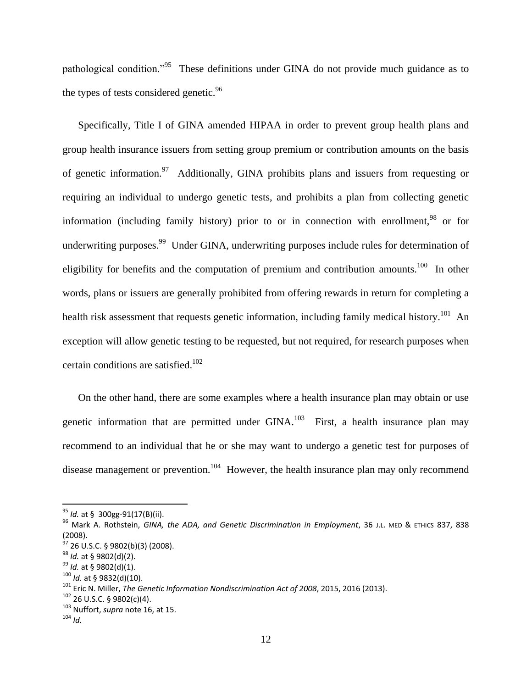pathological condition."<sup>95</sup> These definitions under GINA do not provide much guidance as to the types of tests considered genetic.<sup>96</sup>

Specifically, Title I of GINA amended HIPAA in order to prevent group health plans and group health insurance issuers from setting group premium or contribution amounts on the basis of genetic information.<sup>97</sup> Additionally, GINA prohibits plans and issuers from requesting or requiring an individual to undergo genetic tests, and prohibits a plan from collecting genetic information (including family history) prior to or in connection with enrollment,<sup>98</sup> or for underwriting purposes.<sup>99</sup> Under GINA, underwriting purposes include rules for determination of eligibility for benefits and the computation of premium and contribution amounts.<sup>100</sup> In other words, plans or issuers are generally prohibited from offering rewards in return for completing a health risk assessment that requests genetic information, including family medical history.<sup>101</sup> An exception will allow genetic testing to be requested, but not required, for research purposes when certain conditions are satisfied. 102

On the other hand, there are some examples where a health insurance plan may obtain or use genetic information that are permitted under  $GINA$ .<sup>103</sup> First, a health insurance plan may recommend to an individual that he or she may want to undergo a genetic test for purposes of disease management or prevention.<sup>104</sup> However, the health insurance plan may only recommend

<sup>95</sup> *Id.* at § 300gg-91(17(B)(ii).

<sup>96</sup> Mark A. Rothstein, *GINA, the ADA, and Genetic Discrimination in Employment*, 36 J.L. MED & ETHICS 837, 838 (2008).

 $\frac{6}{9}$  26 U.S.C. § 9802(b)(3) (2008).

<sup>98</sup> *Id.* at § 9802(d)(2).

<sup>99</sup> *Id.* at § 9802(d)(1).

<sup>100</sup> *Id.* at § 9832(d)(10).

<sup>101</sup> Eric N. Miller, *The Genetic Information Nondiscrimination Act of 2008*, 2015, 2016 (2013).

<sup>102</sup> 26 U.S.C. § 9802(c)(4).

<sup>103</sup> Nuffort, *supra* note 16, at 15.

 $104$  *Id.*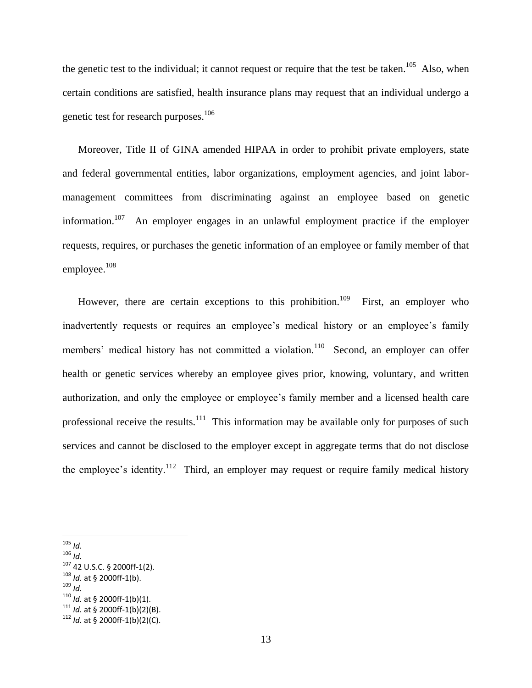the genetic test to the individual; it cannot request or require that the test be taken.<sup>105</sup> Also, when certain conditions are satisfied, health insurance plans may request that an individual undergo a genetic test for research purposes. $106$ 

Moreover, Title II of GINA amended HIPAA in order to prohibit private employers, state and federal governmental entities, labor organizations, employment agencies, and joint labormanagement committees from discriminating against an employee based on genetic information.<sup>107</sup> An employer engages in an unlawful employment practice if the employer requests, requires, or purchases the genetic information of an employee or family member of that employee.<sup>108</sup>

However, there are certain exceptions to this prohibition.<sup>109</sup> First, an employer who inadvertently requests or requires an employee's medical history or an employee's family members' medical history has not committed a violation.<sup>110</sup> Second, an employer can offer health or genetic services whereby an employee gives prior, knowing, voluntary, and written authorization, and only the employee or employee's family member and a licensed health care professional receive the results.<sup>111</sup> This information may be available only for purposes of such services and cannot be disclosed to the employer except in aggregate terms that do not disclose the employee's identity.<sup>112</sup> Third, an employer may request or require family medical history

<sup>109</sup> *Id.*

 $\overline{a}$ <sup>105</sup> *Id.*

<sup>106</sup> *Id.*

<sup>107</sup> 42 U.S.C. § 2000ff-1(2).

<sup>108</sup> *Id.* at § 2000ff-1(b).

 $110$  *Id.* at § 2000ff-1(b)(1).

 $111$  *Id.* at § 2000ff-1(b)(2)(B).

 $112$  *Id.* at § 2000ff-1(b)(2)(C).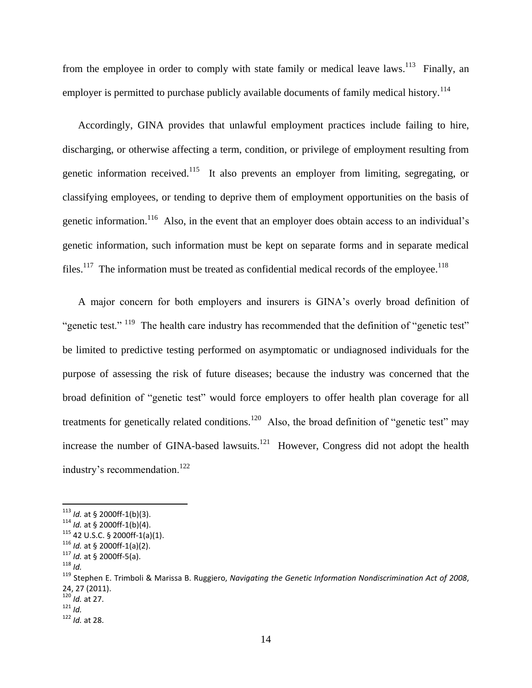from the employee in order to comply with state family or medical leave laws.<sup>113</sup> Finally, an employer is permitted to purchase publicly available documents of family medical history.<sup>114</sup>

Accordingly, GINA provides that unlawful employment practices include failing to hire, discharging, or otherwise affecting a term, condition, or privilege of employment resulting from genetic information received.<sup>115</sup> It also prevents an employer from limiting, segregating, or classifying employees, or tending to deprive them of employment opportunities on the basis of genetic information.<sup>116</sup> Also, in the event that an employer does obtain access to an individual's genetic information, such information must be kept on separate forms and in separate medical files.<sup>117</sup> The information must be treated as confidential medical records of the employee.<sup>118</sup>

A major concern for both employers and insurers is GINA's overly broad definition of "genetic test." <sup>119</sup> The health care industry has recommended that the definition of "genetic test" be limited to predictive testing performed on asymptomatic or undiagnosed individuals for the purpose of assessing the risk of future diseases; because the industry was concerned that the broad definition of "genetic test" would force employers to offer health plan coverage for all treatments for genetically related conditions.<sup>120</sup> Also, the broad definition of "genetic test" may increase the number of GINA-based lawsuits. $121$  However, Congress did not adopt the health industry's recommendation.<sup>122</sup>

<sup>113</sup> *Id.* at § 2000ff-1(b)(3).

<sup>114</sup> *Id.* at § 2000ff-1(b)(4).

 $115$  42 U.S.C. § 2000ff-1(a)(1). <sup>116</sup> *Id.* at § 2000ff-1(a)(2).

<sup>117</sup> *Id.* at § 2000ff-5(a). <sup>118</sup> *Id.*

<sup>119</sup> Stephen E. Trimboli & Marissa B. Ruggiero, *Navigating the Genetic Information Nondiscrimination Act of 2008*, 24, 27 (2011).

<sup>120</sup> *Id.* at 27.

<sup>121</sup> *Id.*

<sup>122</sup> *Id.* at 28.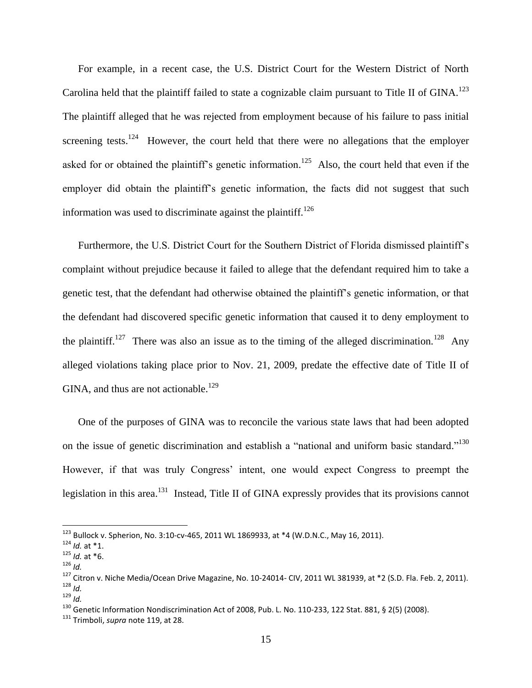For example, in a recent case, the U.S. District Court for the Western District of North Carolina held that the plaintiff failed to state a cognizable claim pursuant to Title II of GINA.<sup>123</sup> The plaintiff alleged that he was rejected from employment because of his failure to pass initial screening tests.<sup>124</sup> However, the court held that there were no allegations that the employer asked for or obtained the plaintiff's genetic information.<sup>125</sup> Also, the court held that even if the employer did obtain the plaintiff's genetic information, the facts did not suggest that such information was used to discriminate against the plaintiff.<sup>126</sup>

Furthermore, the U.S. District Court for the Southern District of Florida dismissed plaintiff's complaint without prejudice because it failed to allege that the defendant required him to take a genetic test, that the defendant had otherwise obtained the plaintiff's genetic information, or that the defendant had discovered specific genetic information that caused it to deny employment to the plaintiff.<sup>127</sup> There was also an issue as to the timing of the alleged discrimination.<sup>128</sup> Any alleged violations taking place prior to Nov. 21, 2009, predate the effective date of Title II of GINA, and thus are not actionable.<sup>129</sup>

One of the purposes of GINA was to reconcile the various state laws that had been adopted on the issue of genetic discrimination and establish a "national and uniform basic standard."<sup>130</sup> However, if that was truly Congress' intent, one would expect Congress to preempt the legislation in this area.<sup>131</sup> Instead, Title II of GINA expressly provides that its provisions cannot

 $^{123}$  Bullock v. Spherion, No. 3:10-cv-465, 2011 WL 1869933, at \*4 (W.D.N.C., May 16, 2011).

<sup>124</sup> *Id.* at \*1.

 $125$  *Id.* at \*6. <sup>126</sup> *Id.*

<sup>&</sup>lt;sup>127</sup> Citron v. Niche Media/Ocean Drive Magazine, No. 10-24014- CIV, 2011 WL 381939, at \*2 (S.D. Fla. Feb. 2, 2011). <sup>128</sup> *Id.*

<sup>129</sup> *Id.*

<sup>&</sup>lt;sup>130</sup> Genetic Information Nondiscrimination Act of 2008, Pub. L. No. 110-233, 122 Stat. 881, § 2(5) (2008).

<sup>131</sup> Trimboli, *supra* note 119, at 28.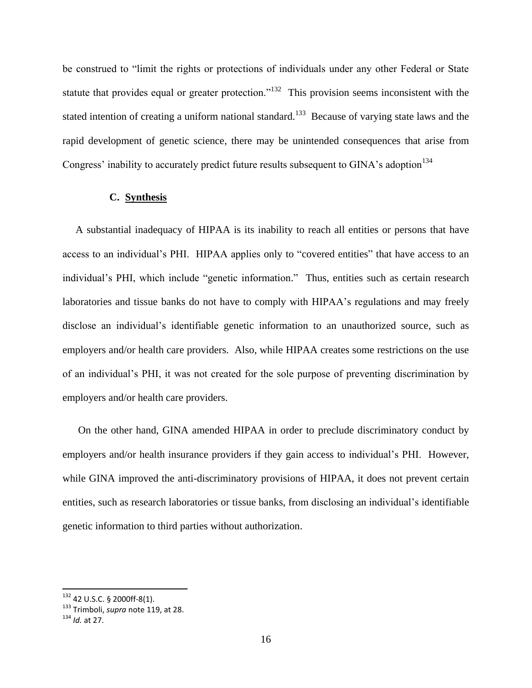be construed to "limit the rights or protections of individuals under any other Federal or State statute that provides equal or greater protection.<sup> $132$ </sup> This provision seems inconsistent with the stated intention of creating a uniform national standard.<sup>133</sup> Because of varying state laws and the rapid development of genetic science, there may be unintended consequences that arise from Congress' inability to accurately predict future results subsequent to GINA's adoption<sup>134</sup>

#### **C. Synthesis**

 A substantial inadequacy of HIPAA is its inability to reach all entities or persons that have access to an individual's PHI. HIPAA applies only to "covered entities" that have access to an individual's PHI, which include "genetic information." Thus, entities such as certain research laboratories and tissue banks do not have to comply with HIPAA's regulations and may freely disclose an individual's identifiable genetic information to an unauthorized source, such as employers and/or health care providers. Also, while HIPAA creates some restrictions on the use of an individual's PHI, it was not created for the sole purpose of preventing discrimination by employers and/or health care providers.

On the other hand, GINA amended HIPAA in order to preclude discriminatory conduct by employers and/or health insurance providers if they gain access to individual's PHI. However, while GINA improved the anti-discriminatory provisions of HIPAA, it does not prevent certain entities, such as research laboratories or tissue banks, from disclosing an individual's identifiable genetic information to third parties without authorization.

 $132$  42 U.S.C. § 2000ff-8(1).

<sup>133</sup> Trimboli, *supra* note 119, at 28.

<sup>134</sup> *Id.* at 27.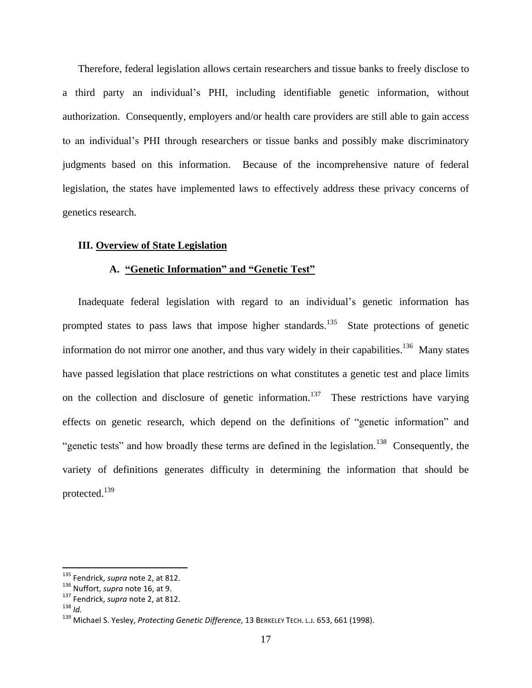Therefore, federal legislation allows certain researchers and tissue banks to freely disclose to a third party an individual's PHI, including identifiable genetic information, without authorization. Consequently, employers and/or health care providers are still able to gain access to an individual's PHI through researchers or tissue banks and possibly make discriminatory judgments based on this information. Because of the incomprehensive nature of federal legislation, the states have implemented laws to effectively address these privacy concerns of genetics research.

#### **III. Overview of State Legislation**

#### **A. "Genetic Information" and "Genetic Test"**

Inadequate federal legislation with regard to an individual's genetic information has prompted states to pass laws that impose higher standards.<sup>135</sup> State protections of genetic information do not mirror one another, and thus vary widely in their capabilities.<sup>136</sup> Many states have passed legislation that place restrictions on what constitutes a genetic test and place limits on the collection and disclosure of genetic information.<sup>137</sup> These restrictions have varying effects on genetic research, which depend on the definitions of "genetic information" and "genetic tests" and how broadly these terms are defined in the legislation.<sup>138</sup> Consequently, the variety of definitions generates difficulty in determining the information that should be protected.<sup>139</sup>

<sup>135</sup> Fendrick, *supra* note 2, at 812.

<sup>136</sup> Nuffort, *supra* note 16, at 9.

<sup>137</sup> Fendrick, *supra* note 2, at 812.

<sup>138</sup> *Id.*

<sup>139</sup> Michael S. Yesley, *Protecting Genetic Difference*, 13 BERKELEY TECH. <sup>L</sup>.J. 653, 661 (1998).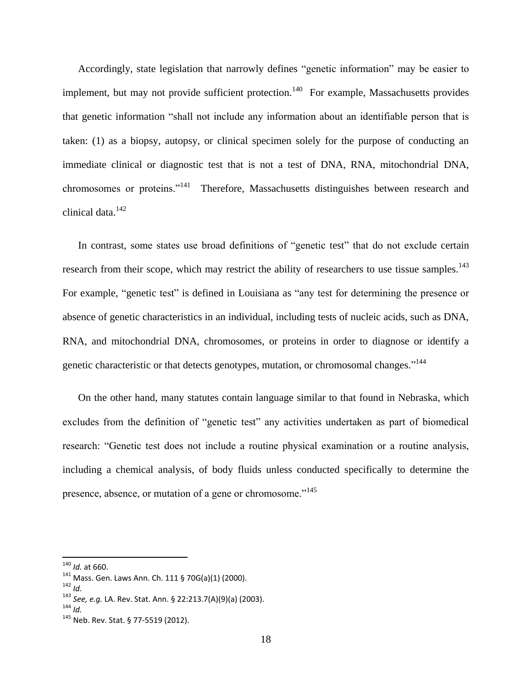Accordingly, state legislation that narrowly defines "genetic information" may be easier to implement, but may not provide sufficient protection.<sup>140</sup> For example, Massachusetts provides that genetic information "shall not include any information about an identifiable person that is taken: (1) as a biopsy, autopsy, or clinical specimen solely for the purpose of conducting an immediate clinical or diagnostic test that is not a test of DNA, RNA, mitochondrial DNA, chromosomes or proteins."<sup>141</sup> Therefore, Massachusetts distinguishes between research and clinical data.<sup>142</sup>

In contrast, some states use broad definitions of "genetic test" that do not exclude certain research from their scope, which may restrict the ability of researchers to use tissue samples.<sup>143</sup> For example, "genetic test" is defined in Louisiana as "any test for determining the presence or absence of genetic characteristics in an individual, including tests of nucleic acids, such as DNA, RNA, and mitochondrial DNA, chromosomes, or proteins in order to diagnose or identify a genetic characteristic or that detects genotypes, mutation, or chromosomal changes."<sup>144</sup>

On the other hand, many statutes contain language similar to that found in Nebraska, which excludes from the definition of "genetic test" any activities undertaken as part of biomedical research: "Genetic test does not include a routine physical examination or a routine analysis, including a chemical analysis, of body fluids unless conducted specifically to determine the presence, absence, or mutation of a gene or chromosome."<sup>145</sup>

l

<sup>140</sup> *Id.* at 660.

<sup>141</sup> Mass. Gen. Laws Ann. Ch. 111 § 70G(a)(1) (2000).

<sup>142</sup> *Id.*

<sup>143</sup> *See, e.g.* LA. Rev. Stat. Ann. § 22:213.7(A)(9)(a) (2003).

<sup>144</sup> *Id.*

<sup>145</sup> Neb. Rev. Stat. § 77-5519 (2012).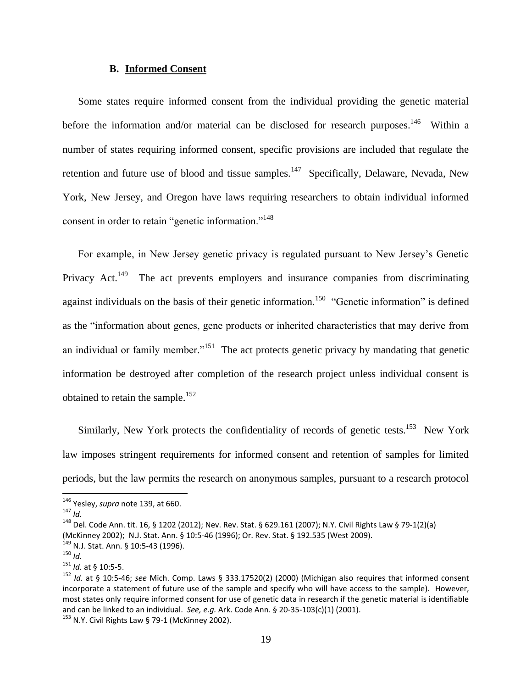#### **B. Informed Consent**

Some states require informed consent from the individual providing the genetic material before the information and/or material can be disclosed for research purposes.<sup>146</sup> Within a number of states requiring informed consent, specific provisions are included that regulate the retention and future use of blood and tissue samples.<sup>147</sup> Specifically, Delaware, Nevada, New York, New Jersey, and Oregon have laws requiring researchers to obtain individual informed consent in order to retain "genetic information."<sup>148</sup>

For example, in New Jersey genetic privacy is regulated pursuant to New Jersey's Genetic Privacy Act.<sup>149</sup> The act prevents employers and insurance companies from discriminating against individuals on the basis of their genetic information.<sup>150</sup> "Genetic information" is defined as the "information about genes, gene products or inherited characteristics that may derive from an individual or family member."<sup>151</sup> The act protects genetic privacy by mandating that genetic information be destroyed after completion of the research project unless individual consent is obtained to retain the sample.<sup>152</sup>

Similarly, New York protects the confidentiality of records of genetic tests.<sup>153</sup> New York law imposes stringent requirements for informed consent and retention of samples for limited periods, but the law permits the research on anonymous samples, pursuant to a research protocol

 $\overline{\phantom{a}}$ 

 $153$  N.Y. Civil Rights Law § 79-1 (McKinney 2002).

<sup>146</sup> Yesley, *supra* note 139, at 660.

 $147$  *Id.* 

<sup>148</sup> Del. Code Ann. tit. 16, § 1202 (2012); Nev. Rev. Stat. § 629.161 (2007); N.Y. Civil Rights Law § 79-1(2)(a) (McKinney 2002); N.J. Stat. Ann. § 10:5-46 (1996); Or. Rev. Stat. § 192.535 (West 2009).

 $149$  N.J. Stat. Ann. § 10:5-43 (1996).

<sup>150</sup> *Id.*

<sup>151</sup> *Id.* at § 10:5-5.

<sup>152</sup> *Id.* at § 10:5-46; *see* Mich. Comp. Laws § 333.17520(2) (2000) (Michigan also requires that informed consent incorporate a statement of future use of the sample and specify who will have access to the sample). However, most states only require informed consent for use of genetic data in research if the genetic material is identifiable and can be linked to an individual. *See, e.g.* Ark. Code Ann. § 20-35-103(c)(1) (2001).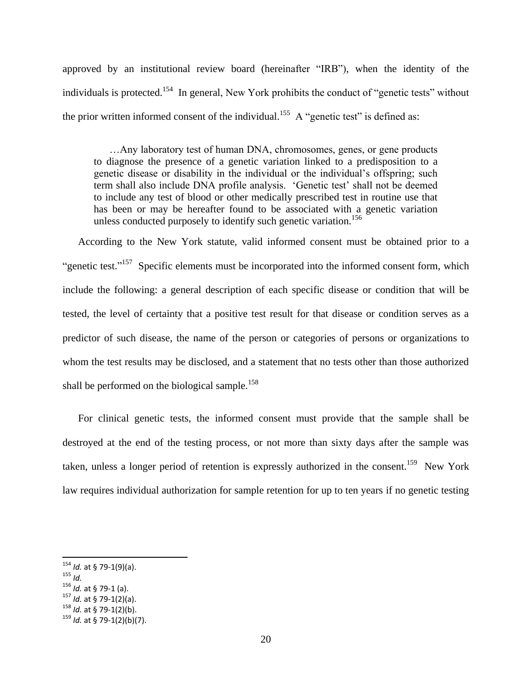approved by an institutional review board (hereinafter "IRB"), when the identity of the individuals is protected.<sup>154</sup> In general, New York prohibits the conduct of "genetic tests" without the prior written informed consent of the individual.<sup>155</sup> A "genetic test" is defined as:

…Any laboratory test of human DNA, chromosomes, genes, or gene products to diagnose the presence of a genetic variation linked to a predisposition to a genetic disease or disability in the individual or the individual's offspring; such term shall also include DNA profile analysis. 'Genetic test' shall not be deemed to include any test of blood or other medically prescribed test in routine use that has been or may be hereafter found to be associated with a genetic variation unless conducted purposely to identify such genetic variation.<sup>156</sup>

According to the New York statute, valid informed consent must be obtained prior to a "genetic test."<sup>157</sup> Specific elements must be incorporated into the informed consent form, which include the following: a general description of each specific disease or condition that will be tested, the level of certainty that a positive test result for that disease or condition serves as a predictor of such disease, the name of the person or categories of persons or organizations to whom the test results may be disclosed, and a statement that no tests other than those authorized shall be performed on the biological sample.<sup>158</sup>

For clinical genetic tests, the informed consent must provide that the sample shall be destroyed at the end of the testing process, or not more than sixty days after the sample was taken, unless a longer period of retention is expressly authorized in the consent.<sup>159</sup> New York law requires individual authorization for sample retention for up to ten years if no genetic testing

l

<sup>158</sup> *Id.* at § 79-1(2)(b).

<sup>154</sup> *Id.* at § 79-1(9)(a).

<sup>155</sup> *Id.*

<sup>156</sup> *Id.* at § 79-1 (a).

<sup>157</sup> *Id.* at § 79-1(2)(a).

<sup>159</sup> *Id.* at § 79-1(2)(b)(7).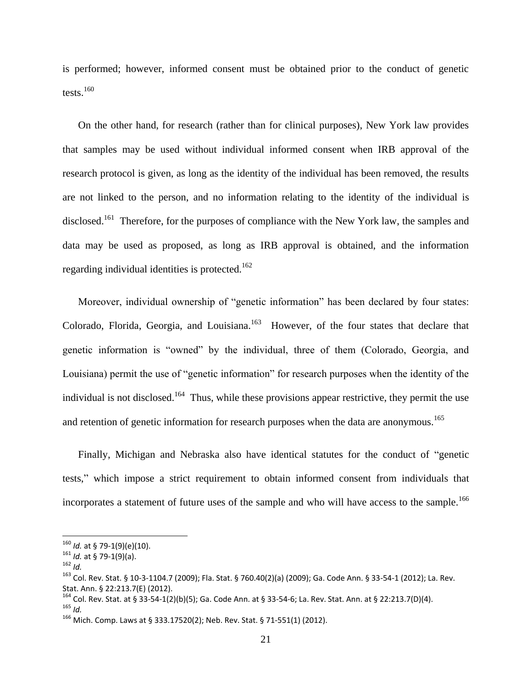is performed; however, informed consent must be obtained prior to the conduct of genetic tests. $160$ 

On the other hand, for research (rather than for clinical purposes), New York law provides that samples may be used without individual informed consent when IRB approval of the research protocol is given, as long as the identity of the individual has been removed, the results are not linked to the person, and no information relating to the identity of the individual is disclosed.<sup>161</sup> Therefore, for the purposes of compliance with the New York law, the samples and data may be used as proposed, as long as IRB approval is obtained, and the information regarding individual identities is protected.<sup>162</sup>

Moreover, individual ownership of "genetic information" has been declared by four states: Colorado, Florida, Georgia, and Louisiana.<sup>163</sup> However, of the four states that declare that genetic information is "owned" by the individual, three of them (Colorado, Georgia, and Louisiana) permit the use of "genetic information" for research purposes when the identity of the individual is not disclosed.<sup>164</sup> Thus, while these provisions appear restrictive, they permit the use and retention of genetic information for research purposes when the data are anonymous.<sup>165</sup>

Finally, Michigan and Nebraska also have identical statutes for the conduct of "genetic tests," which impose a strict requirement to obtain informed consent from individuals that incorporates a statement of future uses of the sample and who will have access to the sample.<sup>166</sup>

 $\overline{a}$ 

<sup>160</sup> *Id.* at § 79-1(9)(e)(10).

<sup>161</sup> *Id.* at § 79-1(9)(a).

<sup>162</sup> *Id.*

<sup>163</sup> Col. Rev. Stat. § 10-3-1104.7 (2009); Fla. Stat. § 760.40(2)(a) (2009); Ga. Code Ann. § 33-54-1 (2012); La. Rev. Stat. Ann. § 22:213.7(E) (2012).

<sup>164</sup> Col. Rev. Stat. at § 33-54-1(2)(b)(5); Ga. Code Ann. at § 33-54-6; La. Rev. Stat. Ann. at § 22:213.7(D)(4). <sup>165</sup> *Id.*

<sup>&</sup>lt;sup>166</sup> Mich. Comp. Laws at § 333.17520(2); Neb. Rev. Stat. § 71-551(1) (2012).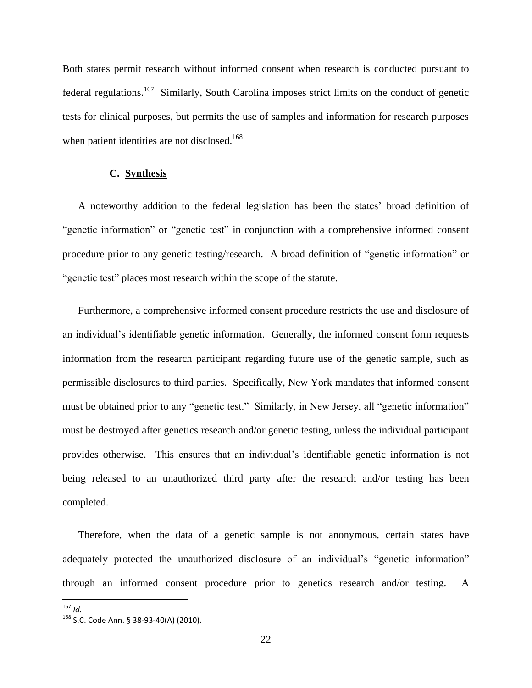Both states permit research without informed consent when research is conducted pursuant to federal regulations.<sup>167</sup> Similarly, South Carolina imposes strict limits on the conduct of genetic tests for clinical purposes, but permits the use of samples and information for research purposes when patient identities are not disclosed.<sup>168</sup>

#### **C. Synthesis**

A noteworthy addition to the federal legislation has been the states' broad definition of "genetic information" or "genetic test" in conjunction with a comprehensive informed consent procedure prior to any genetic testing/research. A broad definition of "genetic information" or "genetic test" places most research within the scope of the statute.

Furthermore, a comprehensive informed consent procedure restricts the use and disclosure of an individual's identifiable genetic information. Generally, the informed consent form requests information from the research participant regarding future use of the genetic sample, such as permissible disclosures to third parties. Specifically, New York mandates that informed consent must be obtained prior to any "genetic test." Similarly, in New Jersey, all "genetic information" must be destroyed after genetics research and/or genetic testing, unless the individual participant provides otherwise. This ensures that an individual's identifiable genetic information is not being released to an unauthorized third party after the research and/or testing has been completed.

Therefore, when the data of a genetic sample is not anonymous, certain states have adequately protected the unauthorized disclosure of an individual's "genetic information" through an informed consent procedure prior to genetics research and/or testing. A

<sup>167</sup> *Id.*

<sup>168</sup> S.C. Code Ann. § 38-93-40(A) (2010).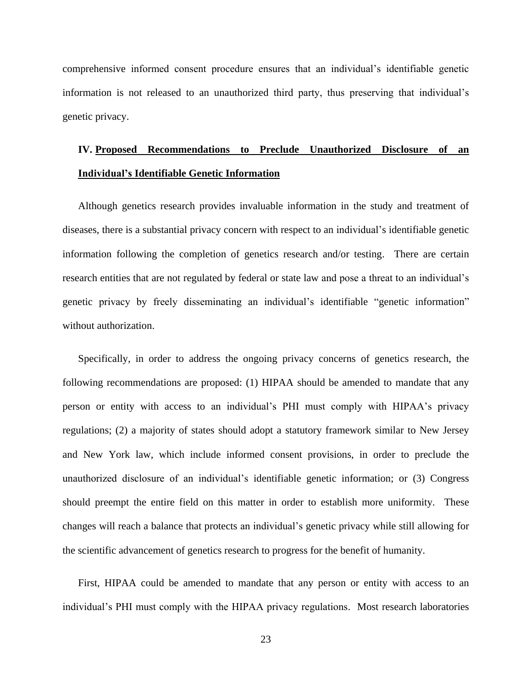comprehensive informed consent procedure ensures that an individual's identifiable genetic information is not released to an unauthorized third party, thus preserving that individual's genetic privacy.

# **IV. Proposed Recommendations to Preclude Unauthorized Disclosure of an Individual's Identifiable Genetic Information**

Although genetics research provides invaluable information in the study and treatment of diseases, there is a substantial privacy concern with respect to an individual's identifiable genetic information following the completion of genetics research and/or testing. There are certain research entities that are not regulated by federal or state law and pose a threat to an individual's genetic privacy by freely disseminating an individual's identifiable "genetic information" without authorization.

Specifically, in order to address the ongoing privacy concerns of genetics research, the following recommendations are proposed: (1) HIPAA should be amended to mandate that any person or entity with access to an individual's PHI must comply with HIPAA's privacy regulations; (2) a majority of states should adopt a statutory framework similar to New Jersey and New York law, which include informed consent provisions, in order to preclude the unauthorized disclosure of an individual's identifiable genetic information; or (3) Congress should preempt the entire field on this matter in order to establish more uniformity. These changes will reach a balance that protects an individual's genetic privacy while still allowing for the scientific advancement of genetics research to progress for the benefit of humanity.

First, HIPAA could be amended to mandate that any person or entity with access to an individual's PHI must comply with the HIPAA privacy regulations. Most research laboratories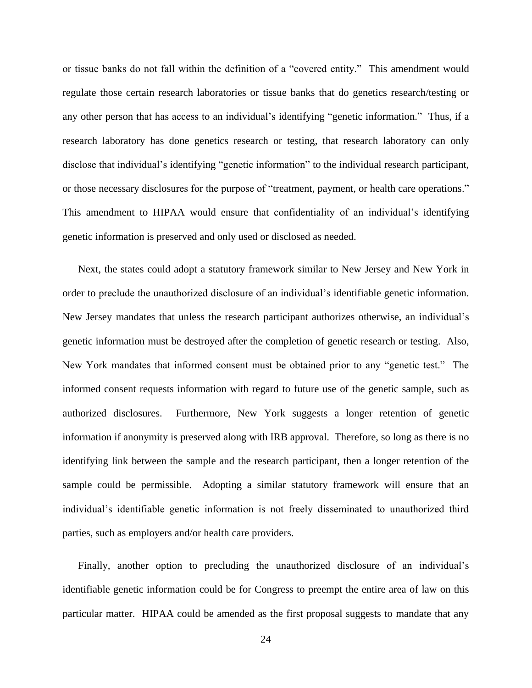or tissue banks do not fall within the definition of a "covered entity." This amendment would regulate those certain research laboratories or tissue banks that do genetics research/testing or any other person that has access to an individual's identifying "genetic information." Thus, if a research laboratory has done genetics research or testing, that research laboratory can only disclose that individual's identifying "genetic information" to the individual research participant, or those necessary disclosures for the purpose of "treatment, payment, or health care operations." This amendment to HIPAA would ensure that confidentiality of an individual's identifying genetic information is preserved and only used or disclosed as needed.

Next, the states could adopt a statutory framework similar to New Jersey and New York in order to preclude the unauthorized disclosure of an individual's identifiable genetic information. New Jersey mandates that unless the research participant authorizes otherwise, an individual's genetic information must be destroyed after the completion of genetic research or testing. Also, New York mandates that informed consent must be obtained prior to any "genetic test." The informed consent requests information with regard to future use of the genetic sample, such as authorized disclosures. Furthermore, New York suggests a longer retention of genetic information if anonymity is preserved along with IRB approval. Therefore, so long as there is no identifying link between the sample and the research participant, then a longer retention of the sample could be permissible. Adopting a similar statutory framework will ensure that an individual's identifiable genetic information is not freely disseminated to unauthorized third parties, such as employers and/or health care providers.

Finally, another option to precluding the unauthorized disclosure of an individual's identifiable genetic information could be for Congress to preempt the entire area of law on this particular matter. HIPAA could be amended as the first proposal suggests to mandate that any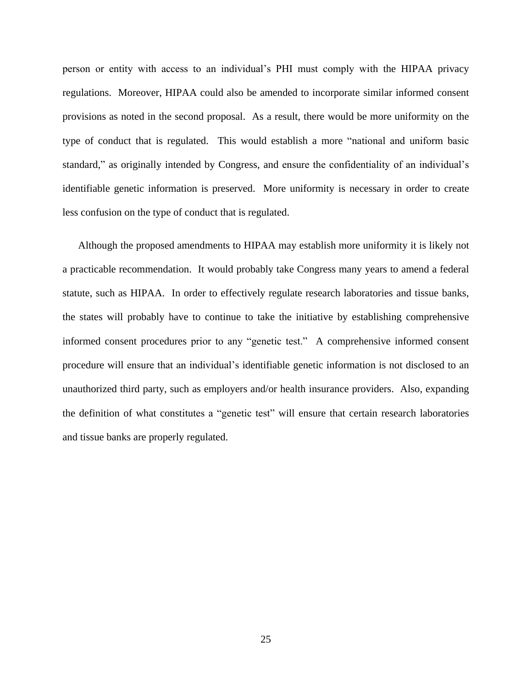person or entity with access to an individual's PHI must comply with the HIPAA privacy regulations. Moreover, HIPAA could also be amended to incorporate similar informed consent provisions as noted in the second proposal. As a result, there would be more uniformity on the type of conduct that is regulated. This would establish a more "national and uniform basic standard," as originally intended by Congress, and ensure the confidentiality of an individual's identifiable genetic information is preserved. More uniformity is necessary in order to create less confusion on the type of conduct that is regulated.

Although the proposed amendments to HIPAA may establish more uniformity it is likely not a practicable recommendation. It would probably take Congress many years to amend a federal statute, such as HIPAA. In order to effectively regulate research laboratories and tissue banks, the states will probably have to continue to take the initiative by establishing comprehensive informed consent procedures prior to any "genetic test." A comprehensive informed consent procedure will ensure that an individual's identifiable genetic information is not disclosed to an unauthorized third party, such as employers and/or health insurance providers. Also, expanding the definition of what constitutes a "genetic test" will ensure that certain research laboratories and tissue banks are properly regulated.